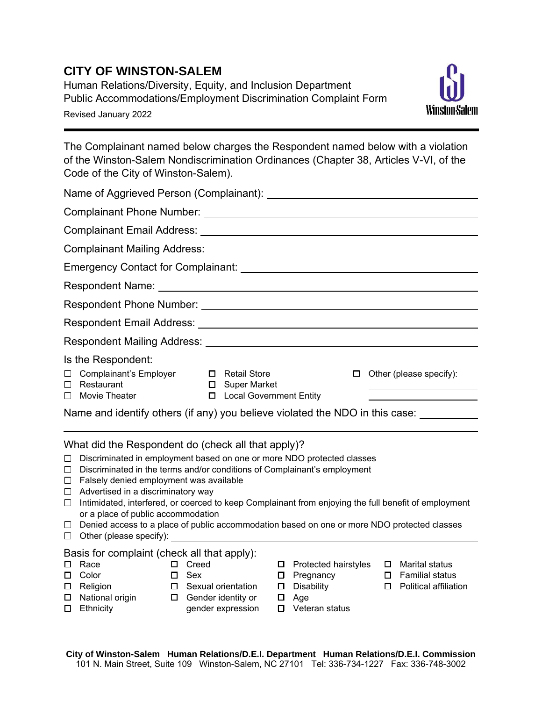## **CITY OF WINSTON-SALEM**

Human Relations/Diversity, Equity, and Inclusion Department Public Accommodations/Employment Discrimination Complaint Form Revised January 2022



The Complainant named below charges the Respondent named below with a violation of the Winston-Salem Nondiscrimination Ordinances (Chapter 38, Articles V-VI, of the Code of the City of Winston-Salem).

| Is the Respondent:                                                                 |                                             |   |                                                                                       |
|------------------------------------------------------------------------------------|---------------------------------------------|---|---------------------------------------------------------------------------------------|
| □ Complainant's Employer □ Retail Store<br>$\Box$ Restaurant<br>Movie Theater<br>П | □ Super Market<br>□ Local Government Entity | □ | Other (please specify):<br><u> 1989 - Johann Barn, amerikansk politiker (d. 1989)</u> |
| Name and identify others (if any) you believe violated the NDO in this case:       |                                             |   |                                                                                       |
|                                                                                    |                                             |   |                                                                                       |

What did the Respondent do (check all that apply)?

- $\Box$  Discriminated in employment based on one or more NDO protected classes
- $\Box$  Discriminated in the terms and/or conditions of Complainant's employment
- $\Box$  Falsely denied employment was available
- $\Box$  Advertised in a discriminatory way
- $\Box$  Intimidated, interfered, or coerced to keep Complainant from enjoying the full benefit of employment or a place of public accommodation
- $\Box$  Denied access to a place of public accommodation based on one or more NDO protected classes
- $\Box$  Other (please specify):

## Basis for complaint (check all that apply):

□ Race □ Color

□ Religion

- □ Creed □ Sex
- - □ Sexual orientation □ Gender identity or
- □ National origin **D** Ethnicity
- gender expression
- □ Protected hairstyles □ Marital status
- □ Pregnancy
- $\square$  Disability
- $\Box$  Age
- □ Veteran status
- $\square$  Familial status
- □ Political affiliation
- **City of Winston-Salem Human Relations/D.E.I. Department Human Relations/D.E.I. Commission** 101 N. Main Street, Suite 109 Winston-Salem, NC 27101 Tel: 336-734-1227 Fax: 336-748-3002